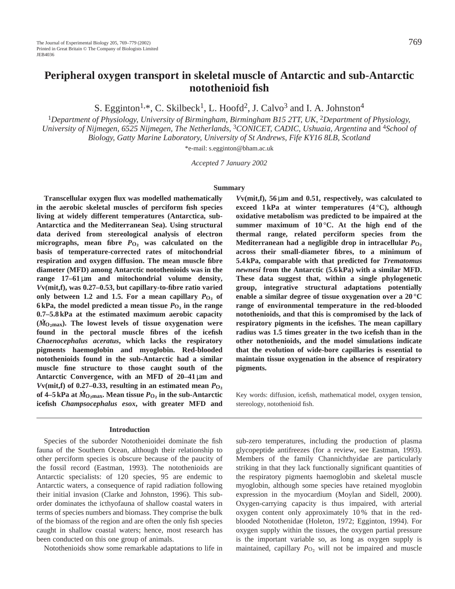# **Peripheral oxygen transport in skeletal muscle of Antarctic and sub-Antarctic notothenioid fish**

S. Egginton<sup>1,\*</sup>, C. Skilbeck<sup>1</sup>, L. Hoofd<sup>2</sup>, J. Calvo<sup>3</sup> and I. A. Johnston<sup>4</sup>

<sup>1</sup>Department of Physiology, University of Birmingham, Birmingham B15 2TT, UK, <sup>2</sup>Department of Physiology. *University of Nijmegen, 6525 Nijmegen, The Netherlands,* 3*CONICET, CADIC, Ushuaia, Argentina* and 4*School of Biology, Gatty Marine Laboratory, University of St Andrews, Fife KY16 8LB, Scotland*

\*e-mail: s.egginton@bham.ac.uk

*Accepted 7 January 2002*

#### **Summary**

**Transcellular oxygen flux was modelled mathematically in the aerobic skeletal muscles of perciform fish species living at widely different temperatures (Antarctica, sub-Antarctica and the Mediterranean Sea). Using structural data derived from stereological analysis of electron** micrographs, mean fibre  $P_{\text{O}_2}$  was calculated on the **basis of temperature-corrected rates of mitochondrial respiration and oxygen diffusion. The mean muscle fibre diameter (MFD) among Antarctic notothenioids was in the range 17–61** µ**m and mitochondrial volume density,** *V***v(mit,f), was 0.27–0.53, but capillary-to-fibre ratio varied** only between 1.2 and 1.5. For a mean capillary  $P_{O_2}$  of **6 kPa, the model predicted a mean tissue**  $P_{\text{O}_2}$  **in the range 0.7–5.8 kPa at the estimated maximum aerobic capacity . (***M* **<sup>O</sup>∑max). The lowest levels of tissue oxygenation were found in the pectoral muscle fibres of the icefish** *Chaenocephalus aceratus***, which lacks the respiratory pigments haemoglobin and myoglobin. Red-blooded notothenioids found in the sub-Antarctic had a similar muscle fine structure to those caught south of the Antarctic Convergence, with an MFD of 20–41** µ**m and**  $Vv(\text{mit}, f)$  of 0.27–0.33, resulting in an estimated mean  $P_{Q_2}$ **of 4–5 kPa at**  $\dot{M}_{\rm O_2max}$ **. Mean tissue**  $P_{\rm O_2}$  **in the sub-Antarctic icefish** *Champsocephalus esox***, with greater MFD and**

# **Introduction**

Species of the suborder Notothenioidei dominate the fish fauna of the Southern Ocean, although their relationship to other perciform species is obscure because of the paucity of the fossil record (Eastman, 1993). The notothenioids are Antarctic specialists: of 120 species, 95 are endemic to Antarctic waters, a consequence of rapid radiation following their initial invasion (Clarke and Johnston, 1996). This suborder dominates the icthyofauna of shallow coastal waters in terms of species numbers and biomass. They comprise the bulk of the biomass of the region and are often the only fish species caught in shallow coastal waters; hence, most research has been conducted on this one group of animals.

Notothenioids show some remarkable adaptations to life in

*V***v(mit,f), 56** µ**m and 0.51, respectively, was calculated to exceed 1 kPa at winter temperatures (4 °C), although oxidative metabolism was predicted to be impaired at the summer maximum of 10 °C. At the high end of the thermal range, related perciform species from the Mediterranean had a negligible drop in intracellular**  $P_{\text{O}}$ **, across their small-diameter fibres, to a minimum of 5.4 kPa, comparable with that predicted for** *Trematomus newnesi* **from the Antarctic (5.6 kPa) with a similar MFD. These data suggest that, within a single phylogenetic group, integrative structural adaptations potentially enable a similar degree of tissue oxygenation over a 20 °C range of environmental temperature in the red-blooded notothenioids, and that this is compromised by the lack of respiratory pigments in the icefishes. The mean capillary radius was 1.5 times greater in the two icefish than in the other notothenioids, and the model simulations indicate that the evolution of wide-bore capillaries is essential to maintain tissue oxygenation in the absence of respiratory pigments.**

Key words: diffusion, icefish, mathematical model, oxygen tension, stereology, notothenioid fish.

sub-zero temperatures, including the production of plasma glycopeptide antifreezes (for a review, see Eastman, 1993). Members of the family Channichthyidae are particularly striking in that they lack functionally significant quantities of the respiratory pigments haemoglobin and skeletal muscle myoglobin, although some species have retained myoglobin expression in the myocardium (Moylan and Sidell, 2000). Oxygen-carrying capacity is thus impaired, with arterial oxygen content only approximately 10 % that in the redblooded Notothenidae (Holeton, 1972; Egginton, 1994). For oxygen supply within the tissues, the oxygen partial pressure is the important variable so, as long as oxygen supply is maintained, capillary  $P<sub>O<sub>2</sub></sub>$  will not be impaired and muscle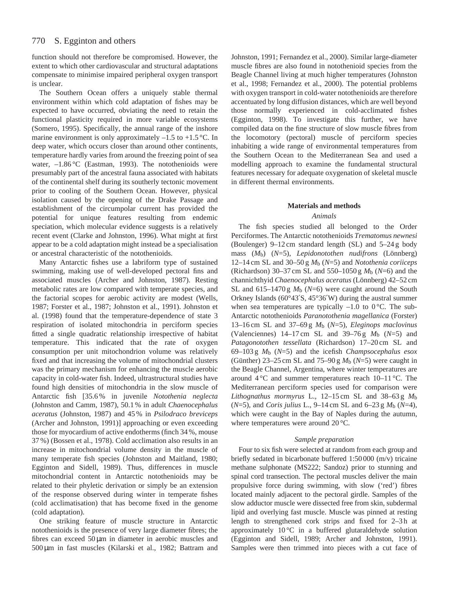function should not therefore be compromised. However, the extent to which other cardiovascular and structural adaptations compensate to minimise impaired peripheral oxygen transport is unclear.

The Southern Ocean offers a uniquely stable thermal environment within which cold adaptation of fishes may be expected to have occurred, obviating the need to retain the functional plasticity required in more variable ecosystems (Somero, 1995). Specifically, the annual range of the inshore marine environment is only approximately  $-1.5$  to  $+1.5$  °C. In deep water, which occurs closer than around other continents, temperature hardly varies from around the freezing point of sea water,  $-1.86$  °C (Eastman, 1993). The notothenioids were presumably part of the ancestral fauna associated with habitats of the continental shelf during its southerly tectonic movement prior to cooling of the Southern Ocean. However, physical isolation caused by the opening of the Drake Passage and establishment of the circumpolar current has provided the potential for unique features resulting from endemic speciation, which molecular evidence suggests is a relatively recent event (Clarke and Johnston, 1996). What might at first appear to be a cold adaptation might instead be a specialisation or ancestral characteristic of the notothenioids.

Many Antarctic fishes use a labriform type of sustained swimming, making use of well-developed pectoral fins and associated muscles (Archer and Johnston, 1987). Resting metabolic rates are low compared with temperate species, and the factorial scopes for aerobic activity are modest (Wells, 1987; Forster et al., 1987; Johnston et al., 1991). Johnston et al. (1998) found that the temperature-dependence of state 3 respiration of isolated mitochondria in perciform species fitted a single quadratic relationship irrespective of habitat temperature. This indicated that the rate of oxygen consumption per unit mitochondrion volume was relatively fixed and that increasing the volume of mitochondrial clusters was the primary mechanism for enhancing the muscle aerobic capacity in cold-water fish. Indeed, ultrastructural studies have found high densities of mitochondria in the slow muscle of Antarctic fish [35.6 % in juvenile *Notothenia neglecta* (Johnston and Camm, 1987), 50.1 % in adult *Chaenocephalus aceratus* (Johnston, 1987) and 45 % in *Psilodraco breviceps* (Archer and Johnston, 1991)] approaching or even exceeding those for myocardium of active endotherms (finch 34 %, mouse 37 %) (Bossen et al., 1978). Cold acclimation also results in an increase in mitochondrial volume density in the muscle of many temperate fish species (Johnston and Maitland, 1980; Egginton and Sidell, 1989). Thus, differences in muscle mitochondrial content in Antarctic notothenioids may be related to their phyletic derivation or simply be an extension of the response observed during winter in temperate fishes (cold acclimatisation) that has become fixed in the genome (cold adaptation).

One striking feature of muscle structure in Antarctic notothenioids is the presence of very large diameter fibres; the fibres can exceed  $50 \mu m$  in diameter in aerobic muscles and 500 µm in fast muscles (Kilarski et al., 1982; Battram and Johnston, 1991; Fernandez et al., 2000). Similar large-diameter muscle fibres are also found in notothenioid species from the Beagle Channel living at much higher temperatures (Johnston et al., 1998; Fernandez et al., 2000). The potential problems with oxygen transport in cold-water notothenioids are therefore accentuated by long diffusion distances, which are well beyond those normally experienced in cold-acclimated fishes (Egginton, 1998). To investigate this further, we have compiled data on the fine structure of slow muscle fibres from the locomotory (pectoral) muscle of perciform species inhabiting a wide range of environmental temperatures from the Southern Ocean to the Mediterranean Sea and used a modelling approach to examine the fundamental structural features necessary for adequate oxygenation of skeletal muscle in different thermal environments.

# **Materials and methods**

# *Animals*

The fish species studied all belonged to the Order Perciformes. The Antarctic notothenioids *Trematomus newnesi* (Boulenger) 9–12 cm standard length (SL) and 5–24 g body mass (*M*b) (*N*=5), *Lepidonotothen nudifrons* (Lönnberg) 12–14 cm SL and 30–50 g *M*b (*N*=5) and *Notothenia coriiceps* (Richardson) 30–37 cm SL and 550–1050 g *M*b (*N*=6) and the channichthyid *Chaenocephalus aceratus* (Lönnberg) 42–52 cm SL and 615–1470 g *M*b (*N*=6) were caught around the South Orkney Islands (60°43′S, 45°36′W) during the austral summer when sea temperatures are typically  $-1.0$  to 0 °C. The sub-Antarctic notothenioids *Paranotothenia magellanica* (Forster) 13–16 cm SL and 37–69 g *M*b (*N*=5), *Eleginops maclovinus* (Valenciennes)  $14-17$  cm SL and  $39-76$  g  $M_b$  ( $N=5$ ) and *Patagonotothen tessellata* (Richardson) 17–20 cm SL and 69–103 g *M*b (*N*=5) and the icefish *Champsocephalus esox* (Günther) 23–25 cm SL and  $75-90 g M_b$  ( $N=5$ ) were caught in the Beagle Channel, Argentina, where winter temperatures are around  $4^{\circ}$ C and summer temperatures reach  $10-11^{\circ}$ C. The Mediterranean perciform species used for comparison were *Lithognathus mormyrus* L., 12–15 cm SL and 38–63 g *M*b (*N*=5), and *Coris julius* L., 9–14 cm SL and 6–23 g *M*b (*N*=4), which were caught in the Bay of Naples during the autumn, where temperatures were around 20 °C.

## *Sample preparation*

Four to six fish were selected at random from each group and briefly sedated in bicarbonate buffered 1:50 000 (m/v) tricaine methane sulphonate (MS222; Sandoz) prior to stunning and spinal cord transection. The pectoral muscles deliver the main propulsive force during swimming, with slow ('red') fibres located mainly adjacent to the pectoral girdle. Samples of the slow adductor muscle were dissected free from skin, subdermal lipid and overlying fast muscle. Muscle was pinned at resting length to strengthened cork strips and fixed for 2-3h at approximately 10 °C in a buffered glutaraldehyde solution (Egginton and Sidell, 1989; Archer and Johnston, 1991). Samples were then trimmed into pieces with a cut face of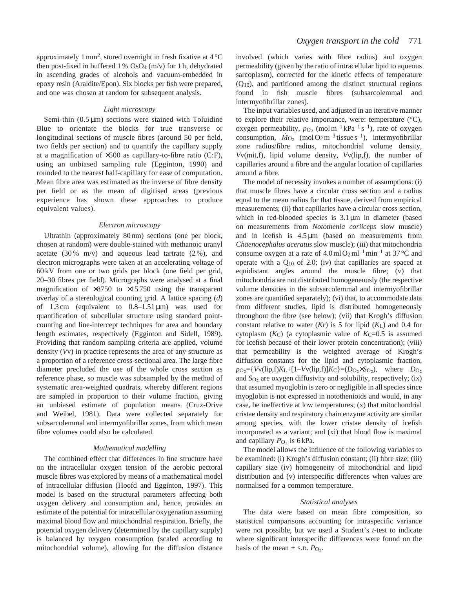approximately 1 mm<sup>2</sup>, stored overnight in fresh fixative at  $4^{\circ}$ C then post-fixed in buffered  $1\%$  OsO<sub>4</sub> (m/v) for 1h, dehydrated in ascending grades of alcohols and vacuum-embedded in epoxy resin (Araldite/Epon). Six blocks per fish were prepared, and one was chosen at random for subsequent analysis.

## *Light microscopy*

Semi-thin  $(0.5 \mu m)$  sections were stained with Toluidine Blue to orientate the blocks for true transverse or longitudinal sections of muscle fibres (around 50 per field, two fields per section) and to quantify the capillary supply at a magnification of ×500 as capillary-to-fibre ratio (C:F), using an unbiased sampling rule (Egginton, 1990) and rounded to the nearest half-capillary for ease of computation. Mean fibre area was estimated as the inverse of fibre density per field or as the mean of digitised areas (previous experience has shown these approaches to produce equivalent values).

#### *Electron microscopy*

Ultrathin (approximately 80 nm) sections (one per block, chosen at random) were double-stained with methanoic uranyl acetate  $(30\% \text{ m/v})$  and aqueous lead tartrate  $(2\%)$ , and electron micrographs were taken at an accelerating voltage of 60 kV from one or two grids per block (one field per grid, 20–30 fibres per field). Micrographs were analysed at a final magnification of  $\times 8750$  to  $\times 15750$  using the transparent overlay of a stereological counting grid. A lattice spacing (*d*) of 1.3 cm (equivalent to  $0.8-1.51 \,\mu\text{m}$ ) was used for quantification of subcellular structure using standard pointcounting and line-intercept techniques for area and boundary length estimates, respectively (Egginton and Sidell, 1989). Providing that random sampling criteria are applied, volume density (*V*v) in practice represents the area of any structure as a proportion of a reference cross-sectional area. The large fibre diameter precluded the use of the whole cross section as reference phase, so muscle was subsampled by the method of systematic area-weighted quadrats, whereby different regions are sampled in proportion to their volume fraction, giving an unbiased estimate of population means (Cruz-Orive and Weibel, 1981). Data were collected separately for subsarcolemmal and intermyofibrillar zones, from which mean fibre volumes could also be calculated.

#### *Mathematical modelling*

The combined effect that differences in fine structure have on the intracellular oxygen tension of the aerobic pectoral muscle fibres was explored by means of a mathematical model of intracellular diffusion (Hoofd and Egginton, 1997). This model is based on the structural parameters affecting both oxygen delivery and consumption and, hence, provides an estimate of the potential for intracellular oxygenation assuming maximal blood flow and mitochondrial respiration. Briefly, the potential oxygen delivery (determined by the capillary supply) is balanced by oxygen consumption (scaled according to mitochondrial volume), allowing for the diffusion distance involved (which varies with fibre radius) and oxygen permeability (given by the ratio of intracellular lipid to aqueous sarcoplasm), corrected for the kinetic effects of temperature  $(Q_{10})$ , and partitioned among the distinct structural regions found in fish muscle fibres (subsarcolemmal and intermyofibrillar zones).

The input variables used, and adjusted in an iterative manner to explore their relative importance, were: temperature  $(^{\circ}C)$ , oxygen permeability,  $p_{\text{O}_2}$  (mol m<sup>-1</sup> kPa<sup>-1</sup> s<sup>-1</sup>), rate of oxygen consumption,  $\dot{M}_{\text{O}_2}$  (mol O<sub>2</sub> m<sup>-3</sup> tissue s<sup>-1</sup>), intermy of ibrillar zone radius/fibre radius, mitochondrial volume density, *V*v(mit,f), lipid volume density, *V*v(lip,f), the number of capillaries around a fibre and the angular location of capillaries around a fibre.

The model of necessity invokes a number of assumptions: (i) that muscle fibres have a circular cross section and a radius equal to the mean radius for that tissue, derived from empirical measurements; (ii) that capillaries have a circular cross section, which in red-blooded species is  $3.1 \,\mu m$  in diameter (based on measurements from *Notothenia coriiceps* slow muscle) and in icefish is  $4.5 \,\mu\text{m}$  (based on measurements from *Chaenocephalus aceratus* slow muscle); (iii) that mitochondria consume oxygen at a rate of  $4.0 \text{ ml} O_2 \text{ ml}^{-1} \text{ min}^{-1}$  at  $37 \text{ °C}$  and operate with a  $Q_{10}$  of 2.0; (iv) that capillaries are spaced at equidistant angles around the muscle fibre; (v) that mitochondria are not distributed homogeneously (the respective volume densities in the subsarcolemmal and intermyofibrillar zones are quantified separately); (vi) that, to accommodate data from different studies, lipid is distributed homogeneously throughout the fibre (see below); (vii) that Krogh's diffusion constant relative to water  $(Kr)$  is 5 for lipid  $(K<sub>L</sub>)$  and 0.4 for cytoplasm  $(K_C)$  (a cytoplasmic value of  $K_C=0.5$  is assumed for icefish because of their lower protein concentration); (viii) that permeability is the weighted average of Krogh's diffusion constants for the lipid and cytoplasmic fraction,  $p_{O_2}$ ={*V*v(lip,f)*K*<sub>L</sub>+[1–*Vv*(lip,f)]*K*<sub>C</sub>}=(*D*<sub>O</sub><sub>2</sub>×*S*<sub>O<sub>2</sub>), where *D*<sub>O<sub>2</sub></sub></sub> and  $S<sub>O<sub>2</sub></sub>$  are oxygen diffusivity and solubility, respectively; (ix) that assumed myoglobin is zero or negligible in all species since myoglobin is not expressed in notothenioids and would, in any case, be ineffective at low temperatures; (x) that mitochondrial cristae density and respiratory chain enzyme activity are similar among species, with the lower cristae density of icefish incorporated as a variant; and (xi) that blood flow is maximal and capillary  $P_{\text{O}_2}$  is 6 kPa.

The model allows the influence of the following variables to be examined: (i) Krogh's diffusion constant; (ii) fibre size; (iii) capillary size (iv) homogeneity of mitochondrial and lipid distribution and (v) interspecific differences when values are normalised for a common temperature.

#### *Statistical analyses*

The data were based on mean fibre composition, so statistical comparisons accounting for intraspecific variance were not possible, but we used a Student's *t*-test to indicate where significant interspecific differences were found on the basis of the mean  $\pm$  s.D.  $P_{\text{O}_2}$ .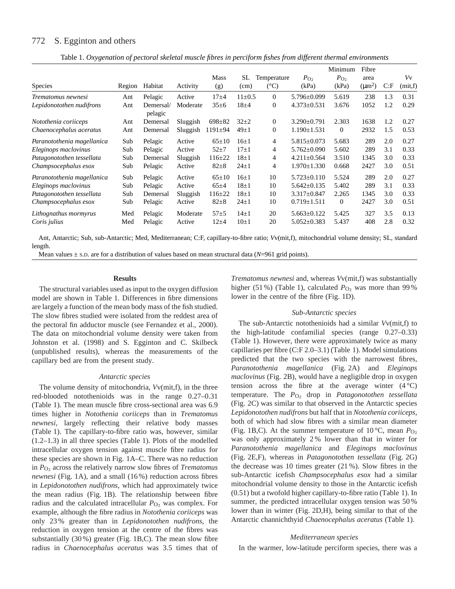#### 772 S. Egginton and others

|  |  |  |  |  | Table 1. Oxygenation of pectoral skeletal muscle fibres in perciform fishes from different thermal environments |  |
|--|--|--|--|--|-----------------------------------------------------------------------------------------------------------------|--|
|  |  |  |  |  |                                                                                                                 |  |

|                            |        |                      |          |               |              |                 |                   | Minimum        | Fibre       |      |         |
|----------------------------|--------|----------------------|----------|---------------|--------------|-----------------|-------------------|----------------|-------------|------|---------|
|                            |        |                      |          | <b>Mass</b>   | SL.          | Temperature     | $P_{\text{O}}$    | $P_{\text{O}}$ | area        |      | Vv      |
| <b>Species</b>             | Region | Habitat              | Activity | (g)           | (cm)         | $({}^{\circ}C)$ | (kPa)             | (kPa)          | $(\mu m^2)$ | C: F | (mit,f) |
| Trematomus newnesi         | Ant    | Pelagic              | Active   | $17 + 4$      | $11 \pm 0.5$ | $\Omega$        | $5.796 \pm 0.099$ | 5.619          | 238         | 1.3  | 0.31    |
| Lepidonotothen nudifrons   | Ant    | Demersal/<br>pelagic | Moderate | $35 \pm 6$    | $18 + 4$     | $\mathbf{0}$    | $4.373 \pm 0.531$ | 3.676          | 1052        | 1.2  | 0.29    |
| Notothenia coriiceps       | Ant    | Demersal             | Sluggish | $698 \pm 82$  | $32\pm 2$    | $\mathbf{0}$    | $3.290 \pm 0.791$ | 2.303          | 1638        | 1.2  | 0.27    |
| Chaenocephalus aceratus    | Ant    | Demersal             | Sluggish | $1191 \pm 94$ | $49\pm1$     | 0               | $1.190 \pm 1.531$ | $\theta$       | 2932        | 1.5  | 0.53    |
| Paranotothenia magellanica | Sub    | Pelagic              | Active   | $65 \pm 10$   | $16+1$       | 4               | $5.815 \pm 0.073$ | 5.683          | 289         | 2.0  | 0.27    |
| Eleginops maclovinus       | Sub    | Pelagic              | Active   | $52 + 7$      | $17+1$       | 4               | $5.762 \pm 0.090$ | 5.602          | 289         | 3.1  | 0.33    |
| Patagonotothen tessellata  | Sub    | Demersal             | Sluggish | $116 \pm 22$  | $18+1$       | 4               | $4.211 \pm 0.564$ | 3.510          | 1345        | 3.0  | 0.33    |
| Champsocephalus esox       | Sub    | Pelagic              | Active   | $82 \pm 8$    | $24 \pm 1$   | 4               | $1.970 \pm 1.330$ | 0.668          | 2427        | 3.0  | 0.51    |
| Paranotothenia magellanica | Sub    | Pelagic              | Active   | $65 \pm 10$   | $16+1$       | 10              | $5.723 \pm 0.110$ | 5.524          | 289         | 2.0  | 0.27    |
| Eleginops maclovinus       | Sub    | Pelagic              | Active   | $65+4$        | $18\pm1$     | 10              | $5.642 \pm 0.135$ | 5.402          | 289         | 3.1  | 0.33    |
| Patagonotothen tessellata  | Sub    | Demersal             | Sluggish | $116 \pm 22$  | $18+1$       | 10              | $3.317 \pm 0.847$ | 2.265          | 1345        | 3.0  | 0.33    |
| Champsocephalus esox       | Sub    | Pelagic              | Active   | $82 \pm 8$    | $24 \pm 1$   | 10              | $0.719 \pm 1.511$ | $\overline{0}$ | 2427        | 3.0  | 0.51    |
| Lithognathus mormyrus      | Med    | Pelagic              | Moderate | $57 + 5$      | $14\pm1$     | 20              | $5.663 \pm 0.122$ | 5.425          | 327         | 3.5  | 0.13    |
| Coris <i>julius</i>        | Med    | Pelagic              | Active   | $12 + 4$      | $10\pm1$     | 20              | $5.052 \pm 0.383$ | 5.437          | 408         | 2.8  | 0.32    |

Ant, Antarctic; Sub, sub-Antarctic; Med, Mediterranean; C:F, capillary-to-fibre ratio; *V*v(mit,f), mitochondrial volume density; SL, standard length.

Mean values  $\pm$  s.D. are for a distribution of values based on mean structural data ( $N=961$  grid points).

#### **Results**

The structural variables used as input to the oxygen diffusion model are shown in Table 1. Differences in fibre dimensions are largely a function of the mean body mass of the fish studied. The slow fibres studied were isolated from the reddest area of the pectoral fin adductor muscle (see Fernandez et al., 2000). The data on mitochondrial volume density were taken from Johnston et al. (1998) and S. Egginton and C. Skilbeck (unpublished results), whereas the measurements of the capillary bed are from the present study.

#### *Antarctic species*

The volume density of mitochondria, *V*v(mit,f), in the three red-blooded notothenioids was in the range 0.27–0.31 (Table 1). The mean muscle fibre cross-sectional area was 6.9 times higher in *Notothenia coriiceps* than in *Trematomus newnesi*, largely reflecting their relative body masses (Table 1). The capillary-to-fibre ratio was, however, similar (1.2–1.3) in all three species (Table 1). Plots of the modelled intracellular oxygen tension against muscle fibre radius for these species are shown in Fig. 1A–C. There was no reduction in *P*O∑ across the relatively narrow slow fibres of *Trematomus newnesi* (Fig. 1A), and a small (16 %) reduction across fibres in *Lepidonotothen nudifrons*, which had approximately twice the mean radius (Fig. 1B). The relationship between fibre radius and the calculated intracellular  $P<sub>O<sub>2</sub></sub>$  was complex. For example, although the fibre radius in *Notothenia coriiceps* was only 23 % greater than in *Lepidonotothen nudifrons*, the reduction in oxygen tension at the centre of the fibres was substantially (30 %) greater (Fig. 1B,C). The mean slow fibre radius in *Chaenocephalus aceratus* was 3.5 times that of

*Trematomus newnesi* and, whereas *V*v(mit,f) was substantially higher (51 %) (Table 1), calculated  $P_{\text{O}_2}$  was more than 99 % lower in the centre of the fibre (Fig. 1D).

#### *Sub-Antarctic species*

The sub-Antarctic notothenioids had a similar *V*v(mit,f) to the high-latitude confamilial species (range 0.27–0.33) (Table 1). However, there were approximately twice as many capillaries per fibre (C:F 2.0–3.1) (Table 1). Model simulations predicted that the two species with the narrowest fibres, *Paranotothenia magellanica* (Fig. 2A) and *Eleginops maclovinus* (Fig. 2B), would have a negligible drop in oxygen tension across the fibre at the average winter  $(4^{\circ}C)$ temperature. The *P*<sub>O<sub>2</sub> drop in *Patagonotothen tessellata*</sub> (Fig. 2C) was similar to that observed in the Antarctic species *Lepidonotothen nudifrons* but half that in *Notothenia coriiceps*, both of which had slow fibres with a similar mean diameter (Fig. 1B,C). At the summer temperature of  $10^{\circ}$ C, mean  $P_{\text{O}_2}$ was only approximately 2 % lower than that in winter for *Paranotothenia magellanica* and *Eleginops maclovinus* (Fig. 2E,F), whereas in *Patagonotothen tessellata* (Fig. 2G) the decrease was 10 times greater (21 %). Slow fibres in the sub-Antarctic icefish *Champsocephalus esox* had a similar mitochondrial volume density to those in the Antarctic icefish (0.51) but a twofold higher capillary-to-fibre ratio (Table 1). In summer, the predicted intracellular oxygen tension was 50 % lower than in winter (Fig. 2D,H), being similar to that of the Antarctic channichthyid *Chaenocephalus aceratus* (Table 1).

## *Mediterranean species*

In the warmer, low-latitude perciform species, there was a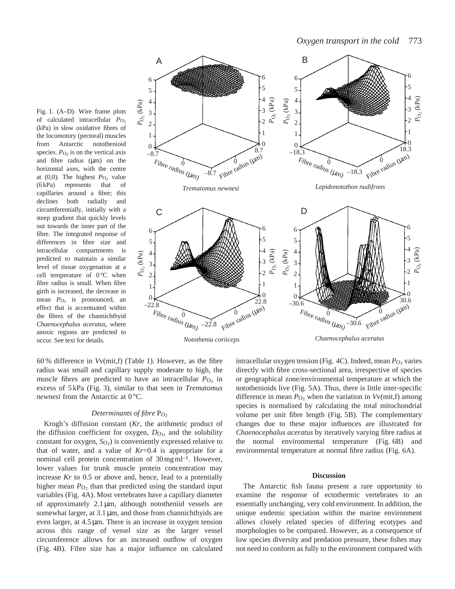Fig. 1. (A–D). Wire frame plots of calculated intracellular *P*O∑ (kPa) in slow oxidative fibres of the locomotory (pectoral) muscles from Antarctic notothenioid species.  $P_{\text{O}_2}$  is on the vertical axis and fibre radius  $(\mu m)$  on the horizontal axes, with the centre at  $(0,0)$ . The highest  $P_{\text{O}_2}$  value (6 kPa) represents that of capillaries around a fibre; this declines both radially and circumferentially, initially with a steep gradient that quickly levels out towards the inner part of the fibre. The integrated response of differences in fibre size and intracellular compartments is predicted to maintain a similar level of tissue oxygenation at a cell temperature of  $0^{\circ}$ C when fibre radius is small. When fibre girth is increased, the decrease in mean  $P_{\text{O}_2}$  is pronounced, an effect that is accentuated within the fibres of the channichthyid *Chaenocephalus aceratus*, where anoxic regions are predicted to occur. See text for details.



60 % difference in *V*v(mit,f) (Table 1). However, as the fibre radius was small and capillary supply moderate to high, the muscle fibres are predicted to have an intracellular  $P_{\text{O}_2}$  in excess of 5 kPa (Fig. 3), similar to that seen in *Trematomus newnesi* from the Antarctic at 0 °C.

# *Determinants of fibre* P*O*<sup>∑</sup>

Krogh's diffusion constant (*Kr*, the arithmetic product of the diffusion coefficient for oxygen,  $D<sub>O<sub>2</sub></sub>$ , and the solubility constant for oxygen, *S*<sub>O2</sub>) is conveniently expressed relative to that of water, and a value of *Kr*=0.4 is appropriate for a nominal cell protein concentration of  $30 \,\mathrm{mg\,ml^{-1}}$ . However, lower values for trunk muscle protein concentration may increase *Kr* to 0.5 or above and, hence, lead to a potentially higher mean  $P_{\text{O}_2}$  than that predicted using the standard input variables (Fig. 4A). Most vertebrates have a capillary diameter of approximately 2.1 µm, although nototheniid vessels are somewhat larger, at  $3.1 \,\mu m$ , and those from channichthyids are even larger, at 4.5 µm. There is an increase in oxygen tension across this range of vessel size as the larger vessel circumference allows for an increased outflow of oxygen (Fig. 4B). Fibre size has a major influence on calculated intracellular oxygen tension (Fig. 4C). Indeed, mean *P*<sub>O2</sub> varies directly with fibre cross-sectional area, irrespective of species or geographical zone/environmental temperature at which the notothenioids live (Fig. 5A). Thus, there is little inter-specific difference in mean  $P_{\text{O}_2}$  when the variation in  $Vv(\text{mit},f)$  among species is normalised by calculating the total mitochondrial volume per unit fibre length (Fig. 5B). The complementary changes due to these major influences are illustrated for *Chaenocephalus aceratus* by iteratively varying fibre radius at the normal environmental temperature (Fig. 6B) and environmental temperature at normal fibre radius (Fig. 6A).

#### **Discussion**

The Antarctic fish fauna present a rare opportunity to examine the response of ectothermic vertebrates to an essentially unchanging, very cold environment. In addition, the unique endemic speciation within the marine environment allows closely related species of differing ecotypes and morphologies to be compared. However, as a consequence of low species diversity and predation pressure, these fishes may not need to conform as fully to the environment compared with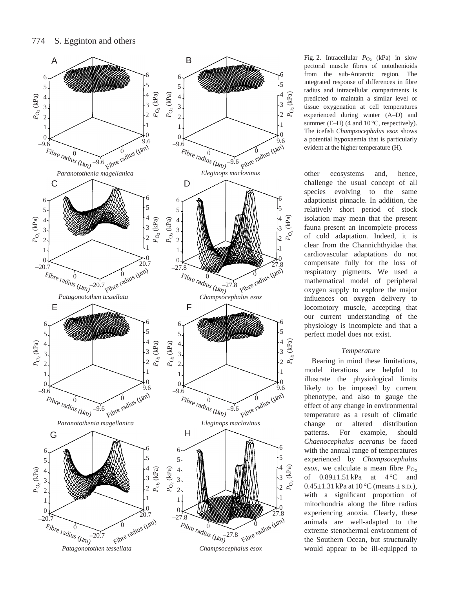

Fig. 2. Intracellular  $P_{\text{O}_2}$  (kPa) in slow pectoral muscle fibres of notothenioids from the sub-Antarctic region. The integrated response of differences in fibre radius and intracellular compartments is predicted to maintain a similar level of tissue oxygenation at cell temperatures experienced during winter (A–D) and summer (E-H) (4 and 10 °C, respectively). The icefish *Champsocephalus esox* shows a potential hypoxaemia that is particularly evident at the higher temperature (H).

other ecosystems and, hence, challenge the usual concept of all species evolving to the same adaptionist pinnacle. In addition, the relatively short period of stock isolation may mean that the present fauna present an incomplete process of cold adaptation. Indeed, it is clear from the Channichthyidae that cardiovascular adaptations do not compensate fully for the loss of respiratory pigments. We used a mathematical model of peripheral oxygen supply to explore the major influences on oxygen delivery to locomotory muscle, accepting that our current understanding of the physiology is incomplete and that a perfect model does not exist.

# *Temperature*

Bearing in mind these limitations, model iterations are helpful to illustrate the physiological limits likely to be imposed by current phenotype, and also to gauge the effect of any change in environmental temperature as a result of climatic change or altered distribution patterns. For example, should *Chaenocephalus aceratus* be faced with the annual range of temperatures experienced by *Champsocephalus esox*, we calculate a mean fibre  $P_{\text{O}_2}$ of  $0.89 \pm 1.51$  kPa at  $4^{\circ}$ C and 0.45 $\pm$ 1.31 kPa at 10 °C (means  $\pm$  s.p.), with a significant proportion of mitochondria along the fibre radius experiencing anoxia. Clearly, these animals are well-adapted to the extreme stenothermal environment of the Southern Ocean, but structurally would appear to be ill-equipped to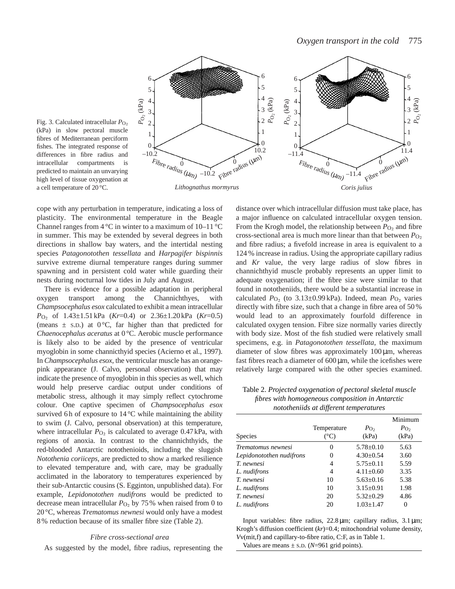

Fig. 3. Calculated intracellular *P*<sub>O</sub><sub>2</sub> (kPa) in slow pectoral muscle fibres of Mediterranean perciform fishes. The integrated response of differences in fibre radius and intracellular compartments is predicted to maintain an unvarying high level of tissue oxygenation at a cell temperature of 20 °C.

cope with any perturbation in temperature, indicating a loss of plasticity. The environmental temperature in the Beagle Channel ranges from  $4^{\circ}$ C in winter to a maximum of  $10-11^{\circ}$ C in summer. This may be extended by several degrees in both directions in shallow bay waters, and the intertidal nesting species *Patagonotothen tessellata* and *Harpagifer bispinnis* survive extreme diurnal temperature ranges during summer spawning and in persistent cold water while guarding their nests during nocturnal low tides in July and August.

There is evidence for a possible adaptation in peripheral oxygen transport among the Channichthyes, with *Champsocephalus esox* calculated to exhibit a mean intracellular *P*<sub>O2</sub> of 1.43±1.51 kPa (*Kr*=0.4) or 2.36±1.20 kPa (*Kr*=0.5) (means  $\pm$  s.D.) at 0°C, far higher than that predicted for *Chaenocephalus aceratus* at 0 °C. Aerobic muscle performance is likely also to be aided by the presence of ventricular myoglobin in some channicthyid species (Acierno et al., 1997). In *Champsocephalus esox*, the ventricular muscle has an orangepink appearance (J. Calvo, personal observation) that may indicate the presence of myoglobin in this species as well, which would help preserve cardiac output under conditions of metabolic stress, although it may simply reflect cytochrome colour. One captive specimen of *Champsocephalus esox* survived 6h of exposure to  $14^{\circ}$ C while maintaining the ability to swim (J. Calvo, personal observation) at this temperature, where intracellular  $P_{\text{O}_2}$  is calculated to average 0.47 kPa, with regions of anoxia. In contrast to the channichthyids, the red-blooded Antarctic notothenioids, including the sluggish *Notothenia coriiceps*, are predicted to show a marked resilience to elevated temperature and, with care, may be gradually acclimated in the laboratory to temperatures experienced by their sub-Antarctic cousins (S. Egginton, unpublished data). For example, *Lepidonotothen nudifrons* would be predicted to decrease mean intracellular  $P<sub>O<sub>2</sub></sub>$  by 75 % when raised from 0 to 20 °C, whereas *Trematomus newnesi* would only have a modest 8 % reduction because of its smaller fibre size (Table 2).

## *Fibre cross-sectional area*

As suggested by the model, fibre radius, representing the

distance over which intracellular diffusion must take place, has a major influence on calculated intracellular oxygen tension. From the Krogh model, the relationship between  $P_{\text{O}_2}$  and fibre cross-sectional area is much more linear than that between  $P_{\text{O}_2}$ and fibre radius; a fivefold increase in area is equivalent to a 124 % increase in radius. Using the appropriate capillary radius and *Kr* value, the very large radius of slow fibres in channichthyid muscle probably represents an upper limit to adequate oxygenation; if the fibre size were similar to that found in nototheniids, there would be a substantial increase in calculated  $P_{\text{O}_2}$  (to 3.13±0.99 kPa). Indeed, mean  $P_{\text{O}_2}$  varies directly with fibre size, such that a change in fibre area of 50 % would lead to an approximately fourfold difference in calculated oxygen tension. Fibre size normally varies directly with body size. Most of the fish studied were relatively small specimens, e.g. in *Patagonotothen tessellata*, the maximum diameter of slow fibres was approximately  $100 \mu m$ , whereas fast fibres reach a diameter of  $600 \mu m$ , while the icefishes were relatively large compared with the other species examined.

Table 2. *Projected oxygenation of pectoral skeletal muscle fibres with homogeneous composition in Antarctic nototheniids at different temperatures*

|                          | $\cdot$             |                           |                                      |
|--------------------------|---------------------|---------------------------|--------------------------------------|
| <b>Species</b>           | Temperature<br>(°C) | $P_{\text{O}_2}$<br>(kPa) | Minimum<br>$P_{\text{O}_2}$<br>(kPa) |
| Trematomus newnesi       | 0                   | $5.78 \pm 0.10$           | 5.63                                 |
| Lepidonotothen nudifrons | 0                   | $4.30 \pm 0.54$           | 3.60                                 |
| <i>T. newnesi</i>        | 4                   | $5.75 \pm 0.11$           | 5.59                                 |
| L. nudifrons             | 4                   | $4.11 \pm 0.60$           | 3.35                                 |
| <i>T. newnesi</i>        | 10                  | $5.63+0.16$               | 5.38                                 |
| L. nudifrons             | 10                  | $3.15 \pm 0.91$           | 1.98                                 |
| T. newnesi               | 20                  | $5.32 \pm 0.29$           | 4.86                                 |
| L. nudifrons             | 20                  | $1.03 \pm 1.47$           | 0                                    |

Input variables: fibre radius, 22.8 µm; capillary radius, 3.1 µm; Krogh's diffusion coefficient (*kr*)=0.4; mitochondrial volume density, *V*v(mit,f) and capillary-to-fibre ratio, C:F, as in Table 1. Values are means  $\pm$  s.D. (*N*=961 grid points).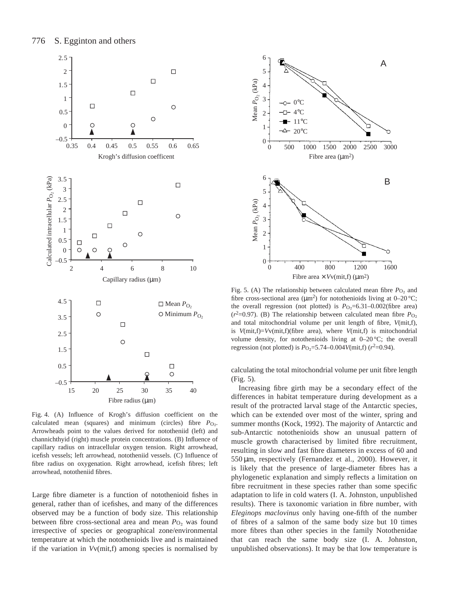

Fig. 4. (A) Influence of Krogh's diffusion coefficient on the calculated mean (squares) and minimum (circles) fibre  $P_{\text{O}_2}$ . Arrowheads point to the values derived for nototheniid (left) and channichthyid (right) muscle protein concentrations. (B) Influence of capillary radius on intracellular oxygen tension. Right arrowhead, icefish vessels; left arrowhead, nototheniid vessels. (C) Influence of fibre radius on oxygenation. Right arrowhead, icefish fibres; left arrowhead, nototheniid fibres.

Large fibre diameter is a function of notothenioid fishes in general, rather than of icefishes, and many of the differences observed may be a function of body size. This relationship between fibre cross-sectional area and mean  $P_{\text{O}_2}$  was found irrespective of species or geographical zone/environmental temperature at which the notothenioids live and is maintained if the variation in *V*v(mit,f) among species is normalised by



Fig. 5. (A) The relationship between calculated mean fibre  $P_{\text{O}_2}$  and fibre cross-sectional area ( $\mu$ m<sup>2</sup>) for notothenioids living at 0–20 °C; the overall regression (not plotted) is  $P_{\text{O}_2}$ =6.31–0.002(fibre area) ( $r^2$ =0.97). (B) The relationship between calculated mean fibre  $P_{\text{O}_2}$ and total mitochondrial volume per unit length of fibre, *V*(mit,f), is *V*(mit,f)=*V*v(mit,f)(fibre area), where *V*(mit,f) is mitochondrial volume density, for notothenioids living at 0–20 °C; the overall regression (not plotted) is  $P_{\text{O}_2}$ =5.74–0.004*V*(mit,f) ( $r^2$ =0.94).

calculating the total mitochondrial volume per unit fibre length (Fig. 5).

Increasing fibre girth may be a secondary effect of the differences in habitat temperature during development as a result of the protracted larval stage of the Antarctic species, which can be extended over most of the winter, spring and summer months (Kock, 1992). The majority of Antarctic and sub-Antarctic notothenioids show an unusual pattern of muscle growth characterised by limited fibre recruitment, resulting in slow and fast fibre diameters in excess of 60 and 550 µm, respectively (Fernandez et al., 2000). However, it is likely that the presence of large-diameter fibres has a phylogenetic explanation and simply reflects a limitation on fibre recruitment in these species rather than some specific adaptation to life in cold waters (I. A. Johnston, unpublished results). There is taxonomic variation in fibre number, with *Eleginops maclovinus* only having one-fifth of the number of fibres of a salmon of the same body size but 10 times more fibres than other species in the family Notothenidae that can reach the same body size (I. A. Johnston, unpublished observations). It may be that low temperature is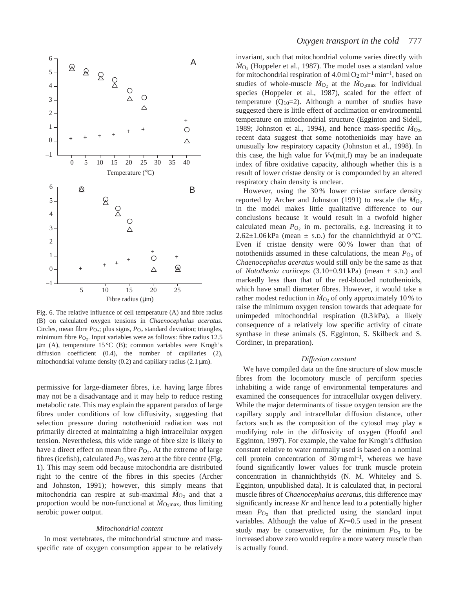

Fig. 6. The relative influence of cell temperature (A) and fibre radius (B) on calculated oxygen tensions in *Chaenocephalus aceratus*. Circles, mean fibre  $P_{\text{O}_2}$ ; plus signs,  $P_{\text{O}_2}$  standard deviation; triangles, minimum fibre  $P_{\text{O}_2}$ . Input variables were as follows: fibre radius 12.5  $\mu$ m (A), temperature 15 °C (B); common variables were Krogh's diffusion coefficient (0.4), the number of capillaries (2), mitochondrial volume density (0.2) and capillary radius (2.1  $\mu$ m).

permissive for large-diameter fibres, i.e. having large fibres may not be a disadvantage and it may help to reduce resting metabolic rate. This may explain the apparent paradox of large fibres under conditions of low diffusivity, suggesting that selection pressure during notothenioid radiation was not primarily directed at maintaining a high intracellular oxygen tension. Nevertheless, this wide range of fibre size is likely to have a direct effect on mean fibre *P*<sub>O2</sub>. At the extreme of large fibres (icefish), calculated  $P_{\text{O}_2}$  was zero at the fibre centre (Fig. 1). This may seem odd because mitochondria are distributed right to the centre of the fibres in this species (Archer and Johnston, 1991); however, this simply means that mitochondria can respire at sub-maximal  $\dot{M}_{O_2}$  and that a proportion would be non-functional at  $\dot{M}_{\text{O}_2\text{max}}$ , thus limiting aerobic power output.

# *Mitochondrial content*

In most vertebrates, the mitochondrial structure and massspecific rate of oxygen consumption appear to be relatively invariant, such that mitochondrial volume varies directly with  $\dot{M}_{\text{O}2}$  (Hoppeler et al., 1987). The model uses a standard value for mitochondrial respiration of  $4.0 \text{ ml} O_2 \text{ ml}^{-1} \text{ min}^{-1}$ , based on studies of whole-muscle  $M_{\text{O}_2}$  at the  $M_{\text{O}_2 \text{max}}$  for individual species (Hoppeler et al., 1987), scaled for the effect of temperature  $(Q_{10}=2)$ . Although a number of studies have suggested there is little effect of acclimation or environmental temperature on mitochondrial structure (Egginton and Sidell, 1989; Johnston et al., 1994), and hence mass-specific  $M_{O_2}$ , recent data suggest that some notothenioids may have an unusually low respiratory capacity (Johnston et al., 1998). In this case, the high value for *V*v(mit,f) may be an inadequate index of fibre oxidative capacity, although whether this is a result of lower cristae density or is compounded by an altered respiratory chain density is unclear.

However, using the 30 % lower cristae surface density reported by Archer and Johnston (1991) to rescale the  $\dot{M}_{O_2}$ in the model makes little qualitative difference to our conclusions because it would result in a twofold higher calculated mean  $P_{\text{O}_2}$  in m. pectoralis, e.g. increasing it to  $2.62\pm1.06$  kPa (mean  $\pm$  s.d.) for the channichthyid at 0 °C. Even if cristae density were 60 % lower than that of nototheniids assumed in these calculations, the mean  $P_{\text{O}_2}$  of *Chaenocephalus aceratus* would still only be the same as that of *Notothenia coriiceps* (3.10±0.91 kPa) (mean ± S.D.) and markedly less than that of the red-blooded notothenioids, which have small diameter fibres. However, it would take a rather modest reduction in  $\dot{M}_{\text{O}_2}$  of only approximately 10% to raise the minimum oxygen tension towards that adequate for unimpeded mitochondrial respiration (0.3 kPa), a likely consequence of a relatively low specific activity of citrate synthase in these animals (S. Egginton, S. Skilbeck and S. Cordiner, in preparation).

# *Diffusion constant*

We have compiled data on the fine structure of slow muscle fibres from the locomotory muscle of perciform species inhabiting a wide range of environmental temperatures and examined the consequences for intracellular oxygen delivery. While the major determinants of tissue oxygen tension are the capillary supply and intracellular diffusion distance, other factors such as the composition of the cytosol may play a modifying role in the diffusivity of oxygen (Hoofd and Egginton, 1997). For example, the value for Krogh's diffusion constant relative to water normally used is based on a nominal cell protein concentration of  $30 \,\text{mg}\,\text{ml}^{-1}$ , whereas we have found significantly lower values for trunk muscle protein concentration in channichthyids (N. M. Whiteley and S. Egginton, unpublished data). It is calculated that, in pectoral muscle fibres of *Chaenocephalus aceratus*, this difference may significantly increase *Kr* and hence lead to a potentially higher mean  $P_{\text{O}_2}$  than that predicted using the standard input variables. Although the value of *Kr*=0.5 used in the present study may be conservative, for the minimum  $P_{\text{O}_2}$  to be increased above zero would require a more watery muscle than is actually found.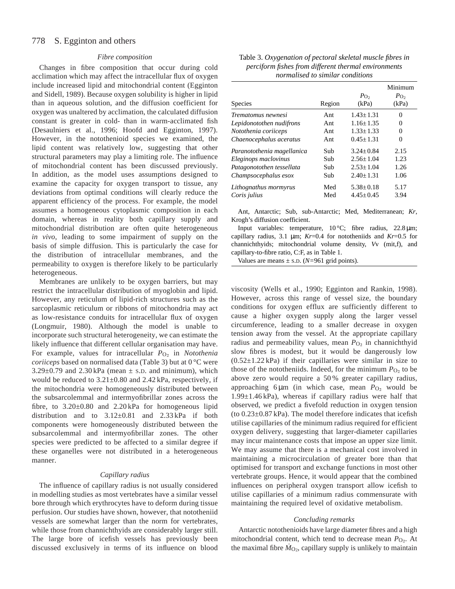#### 778 S. Egginton and others

# *Fibre composition*

Changes in fibre composition that occur during cold acclimation which may affect the intracellular flux of oxygen include increased lipid and mitochondrial content (Egginton and Sidell, 1989). Because oxygen solubility is higher in lipid than in aqueous solution, and the diffusion coefficient for oxygen was unaltered by acclimation, the calculated diffusion constant is greater in cold- than in warm-acclimated fish (Desaulniers et al., 1996; Hoofd and Egginton, 1997). However, in the notothenioid species we examined, the lipid content was relatively low, suggesting that other structural parameters may play a limiting role. The influence of mitochondrial content has been discussed previously. In addition, as the model uses assumptions designed to examine the capacity for oxygen transport to tissue, any deviations from optimal conditions will clearly reduce the apparent efficiency of the process. For example, the model assumes a homogeneous cytoplasmic composition in each domain, whereas in reality both capillary supply and mitochondrial distribution are often quite heterogeneous *in vivo*, leading to some impairment of supply on the basis of simple diffusion. This is particularly the case for the distribution of intracellular membranes, and the permeability to oxygen is therefore likely to be particularly heterogeneous.

Membranes are unlikely to be oxygen barriers, but may restrict the intracellular distribution of myoglobin and lipid. However, any reticulum of lipid-rich structures such as the sarcoplasmic reticulum or ribbons of mitochondria may act as low-resistance conduits for intracellular flux of oxygen (Longmuir, 1980). Although the model is unable to incorporate such structural heterogeneity, we can estimate the likely influence that different cellular organisation may have. For example, values for intracellular *P*<sub>O2</sub> in *Notothenia coriiceps* based on normalised data (Table 3) but at 0 °C were  $3.29\pm0.79$  and  $2.30\,\text{kPa}$  (mean  $\pm$  s.D. and minimum), which would be reduced to 3.21±0.80 and 2.42 kPa, respectively, if the mitochondria were homogeneously distributed between the subsarcolemmal and intermyofibrillar zones across the fibre, to  $3.20\pm0.80$  and  $2.20\,\text{kPa}$  for homogeneous lipid distribution and to  $3.12 \pm 0.81$  and  $2.33 \text{ kPa}$  if both components were homogeneously distributed between the subsarcolemmal and intermyofibrillar zones. The other species were predicted to be affected to a similar degree if these organelles were not distributed in a heterogeneous manner.

## *Capillary radius*

The influence of capillary radius is not usually considered in modelling studies as most vertebrates have a similar vessel bore through which erythrocytes have to deform during tissue perfusion. Our studies have shown, however, that nototheniid vessels are somewhat larger than the norm for vertebrates, while those from channichthyids are considerably larger still. The large bore of icefish vessels has previously been discussed exclusively in terms of its influence on blood

| Table 3. Oxygenation of pectoral skeletal muscle fibres in |
|------------------------------------------------------------|
| perciform fishes from different thermal environments       |
| normalised to similar conditions                           |

|                            |        |                  | Minimum        |
|----------------------------|--------|------------------|----------------|
|                            |        | $P_{\text{O}_2}$ | $P_{\text{O}}$ |
| Species                    | Region | (kPa)            | (kPa)          |
| Trematomus newnesi         | Ant    | $1.43 + 1.31$    | 0              |
| Lepidonotothen nudifrons   | Ant    | $1.16 + 1.35$    | $\Omega$       |
| Notothenia coriiceps       | Ant    | $1.33 + 1.33$    | 0              |
| Chaenocephalus aceratus    | Ant    | $0.45 \pm 1.31$  | $\Omega$       |
| Paranotothenia magellanica | Sub    | $3.24 + 0.84$    | 2.15           |
| Eleginops maclovinus       | Sub    | $2.56 + 1.04$    | 1.23           |
| Patagonotothen tessellata  | Sub    | $2.53 \pm 1.04$  | 1.26           |
| Champsocephalus esox       | Sub    | $2.40 + 1.31$    | 1.06           |
| Lithognathus mormyrus      | Med    | $5.38 \pm 0.18$  | 5.17           |
| Coris julius               | Med    | $4.45+0.45$      | 3.94           |

Ant, Antarctic; Sub, sub-Antarctic; Med, Mediterranean; *Kr*, Krogh's diffusion coefficient.

Input variables: temperature, 10 °C; fibre radius, 22.8 µm; capillary radius, 3.1  $\mu$ m; *Kr*=0.4 for nototheniids and *Kr*=0.5 for channichthyids; mitochondrial volume density, *V*v (mit,f), and capillary-to-fibre ratio, C:F, as in Table 1.

Values are means  $\pm$  s.D. ( $N=961$  grid points).

viscosity (Wells et al., 1990; Egginton and Rankin, 1998). However, across this range of vessel size, the boundary conditions for oxygen efflux are sufficiently different to cause a higher oxygen supply along the larger vessel circumference, leading to a smaller decrease in oxygen tension away from the vessel. At the appropriate capillary radius and permeability values, mean *P*<sub>O2</sub> in channichthyid slow fibres is modest, but it would be dangerously low  $(0.52\pm1.22 \text{ kPa})$  if their capillaries were similar in size to those of the nototheniids. Indeed, for the minimum  $P_{\text{O}_2}$  to be above zero would require a 50 % greater capillary radius, approaching 6  $\mu$ m (in which case, mean  $P_{O_2}$  would be 1.99±1.46 kPa), whereas if capillary radius were half that observed, we predict a fivefold reduction in oxygen tension (to 0.23±0.87 kPa). The model therefore indicates that icefish utilise capillaries of the minimum radius required for efficient oxygen delivery, suggesting that larger-diameter capillaries may incur maintenance costs that impose an upper size limit. We may assume that there is a mechanical cost involved in maintaining a microcirculation of greater bore than that optimised for transport and exchange functions in most other vertebrate groups. Hence, it would appear that the combined influences on peripheral oxygen transport allow icefish to utilise capillaries of a minimum radius commensurate with maintaining the required level of oxidative metabolism.

## *Concluding remarks*

Antarctic notothenioids have large diameter fibres and a high mitochondrial content, which tend to decrease mean  $P_{\text{O}_2}$ . At the maximal fibre  $\dot{M}_{\text{O}_2}$ , capillary supply is unlikely to maintain